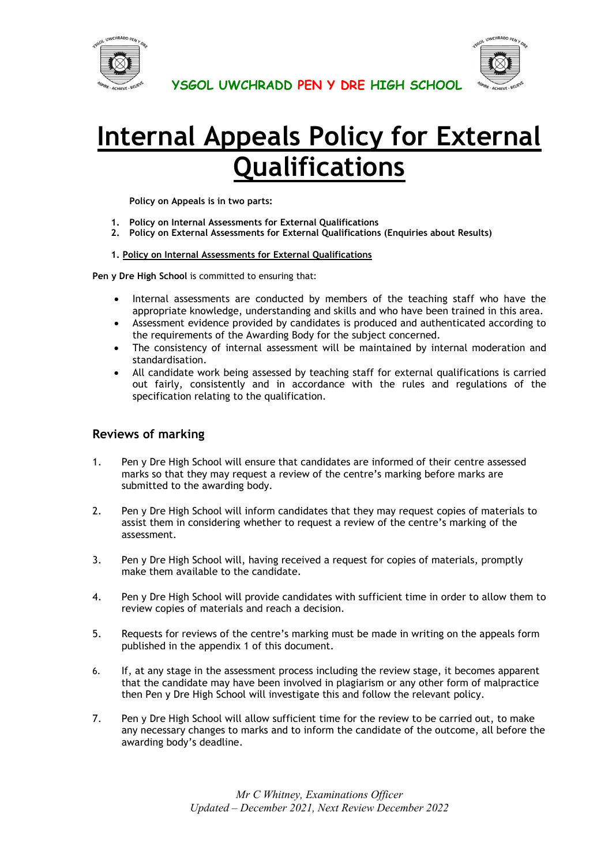



# **Internal Appeals Policy for External Qualifications**

**Policy on Appeals is in two parts:**

- **1. Policy on Internal Assessments for External Qualifications**
- **2. Policy on External Assessments for External Qualifications (Enquiries about Results)**

#### **1. Policy on Internal Assessments for External Qualifications**

**Pen y Dre High School** is committed to ensuring that:

- Internal assessments are conducted by members of the teaching staff who have the appropriate knowledge, understanding and skills and who have been trained in this area.
- Assessment evidence provided by candidates is produced and authenticated according to the requirements of the Awarding Body for the subject concerned.
- The consistency of internal assessment will be maintained by internal moderation and standardisation.
- All candidate work being assessed by teaching staff for external qualifications is carried out fairly, consistently and in accordance with the rules and regulations of the specification relating to the qualification.

## **Reviews of marking**

- 1. Pen y Dre High School will ensure that candidates are informed of their centre assessed marks so that they may request a review of the centre's marking before marks are submitted to the awarding body.
- 2. Pen y Dre High School will inform candidates that they may request copies of materials to assist them in considering whether to request a review of the centre's marking of the assessment.
- 3. Pen y Dre High School will, having received a request for copies of materials, promptly make them available to the candidate.
- 4. Pen y Dre High School will provide candidates with sufficient time in order to allow them to review copies of materials and reach a decision.
- 5. Requests for reviews of the centre's marking must be made in writing on the appeals form published in the appendix 1 of this document.
- 6. If, at any stage in the assessment process including the review stage, it becomes apparent that the candidate may have been involved in plagiarism or any other form of malpractice then Pen y Dre High School will investigate this and follow the relevant policy.
- 7. Pen y Dre High School will allow sufficient time for the review to be carried out, to make any necessary changes to marks and to inform the candidate of the outcome, all before the awarding body's deadline.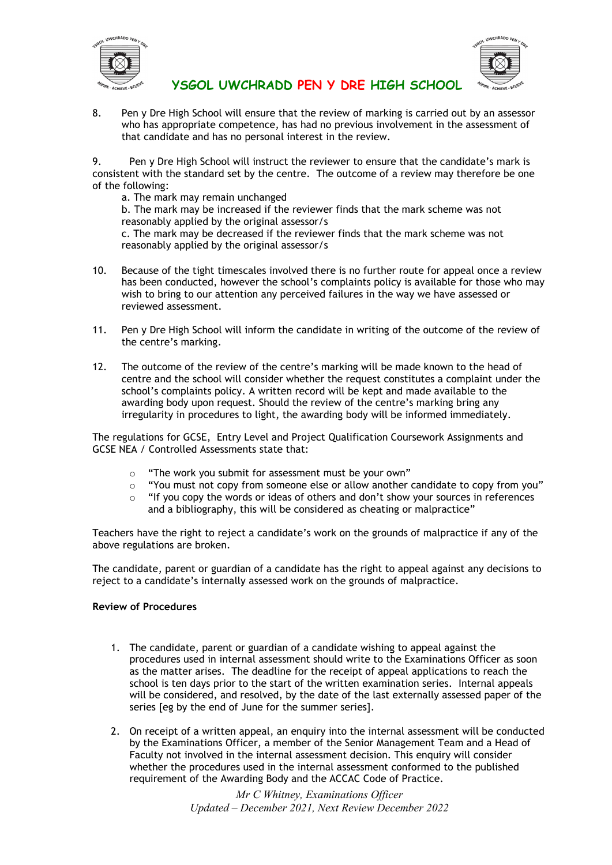



8. Pen y Dre High School will ensure that the review of marking is carried out by an assessor who has appropriate competence, has had no previous involvement in the assessment of that candidate and has no personal interest in the review.

9. Pen y Dre High School will instruct the reviewer to ensure that the candidate's mark is consistent with the standard set by the centre. The outcome of a review may therefore be one of the following:

a. The mark may remain unchanged

b. The mark may be increased if the reviewer finds that the mark scheme was not reasonably applied by the original assessor/s c. The mark may be decreased if the reviewer finds that the mark scheme was not

reasonably applied by the original assessor/s

- 10. Because of the tight timescales involved there is no further route for appeal once a review has been conducted, however the school's complaints policy is available for those who may wish to bring to our attention any perceived failures in the way we have assessed or reviewed assessment.
- 11. Pen y Dre High School will inform the candidate in writing of the outcome of the review of the centre's marking.
- 12. The outcome of the review of the centre's marking will be made known to the head of centre and the school will consider whether the request constitutes a complaint under the school's complaints policy. A written record will be kept and made available to the awarding body upon request. Should the review of the centre's marking bring any irregularity in procedures to light, the awarding body will be informed immediately.

The regulations for GCSE, Entry Level and Project Qualification Coursework Assignments and GCSE NEA / Controlled Assessments state that:

- o "The work you submit for assessment must be your own"
- $\circ$  "You must not copy from someone else or allow another candidate to copy from you"
- $\circ$  "If you copy the words or ideas of others and don't show your sources in references and a bibliography, this will be considered as cheating or malpractice"

Teachers have the right to reject a candidate's work on the grounds of malpractice if any of the above regulations are broken.

The candidate, parent or guardian of a candidate has the right to appeal against any decisions to reject to a candidate's internally assessed work on the grounds of malpractice.

#### **Review of Procedures**

- 1. The candidate, parent or guardian of a candidate wishing to appeal against the procedures used in internal assessment should write to the Examinations Officer as soon as the matter arises. The deadline for the receipt of appeal applications to reach the school is ten days prior to the start of the written examination series. Internal appeals will be considered, and resolved, by the date of the last externally assessed paper of the series [eg by the end of June for the summer series].
- 2. On receipt of a written appeal, an enquiry into the internal assessment will be conducted by the Examinations Officer, a member of the Senior Management Team and a Head of Faculty not involved in the internal assessment decision. This enquiry will consider whether the procedures used in the internal assessment conformed to the published requirement of the Awarding Body and the ACCAC Code of Practice.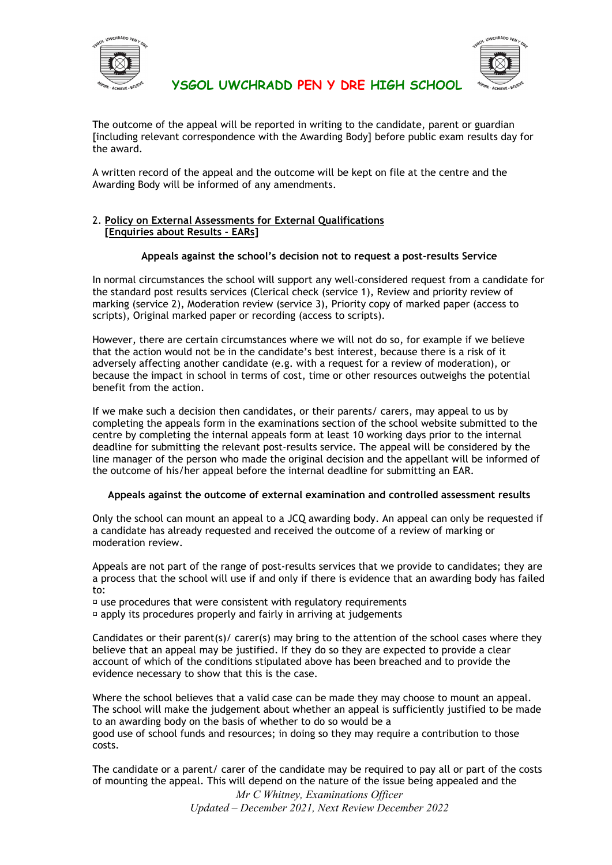



The outcome of the appeal will be reported in writing to the candidate, parent or guardian [including relevant correspondence with the Awarding Body] before public exam results day for the award.

A written record of the appeal and the outcome will be kept on file at the centre and the Awarding Body will be informed of any amendments.

#### 2. **Policy on External Assessments for External Qualifications [Enquiries about Results - EARs]**

#### **Appeals against the school's decision not to request a post-results Service**

In normal circumstances the school will support any well-considered request from a candidate for the standard post results services (Clerical check (service 1), Review and priority review of marking (service 2), Moderation review (service 3), Priority copy of marked paper (access to scripts), Original marked paper or recording (access to scripts).

However, there are certain circumstances where we will not do so, for example if we believe that the action would not be in the candidate's best interest, because there is a risk of it adversely affecting another candidate (e.g. with a request for a review of moderation), or because the impact in school in terms of cost, time or other resources outweighs the potential benefit from the action.

If we make such a decision then candidates, or their parents/ carers, may appeal to us by completing the appeals form in the examinations section of the school website submitted to the centre by completing the internal appeals form at least 10 working days prior to the internal deadline for submitting the relevant post-results service. The appeal will be considered by the line manager of the person who made the original decision and the appellant will be informed of the outcome of his/her appeal before the internal deadline for submitting an EAR.

#### **Appeals against the outcome of external examination and controlled assessment results**

Only the school can mount an appeal to a JCQ awarding body. An appeal can only be requested if a candidate has already requested and received the outcome of a review of marking or moderation review.

Appeals are not part of the range of post-results services that we provide to candidates; they are a process that the school will use if and only if there is evidence that an awarding body has failed to:

 $\overline{p}$  use procedures that were consistent with regulatory requirements

 $\overline{p}$  apply its procedures properly and fairly in arriving at judgements

Candidates or their parent(s)/ carer(s) may bring to the attention of the school cases where they believe that an appeal may be justified. If they do so they are expected to provide a clear account of which of the conditions stipulated above has been breached and to provide the evidence necessary to show that this is the case.

Where the school believes that a valid case can be made they may choose to mount an appeal. The school will make the judgement about whether an appeal is sufficiently justified to be made to an awarding body on the basis of whether to do so would be a good use of school funds and resources; in doing so they may require a contribution to those costs.

The candidate or a parent/ carer of the candidate may be required to pay all or part of the costs of mounting the appeal. This will depend on the nature of the issue being appealed and the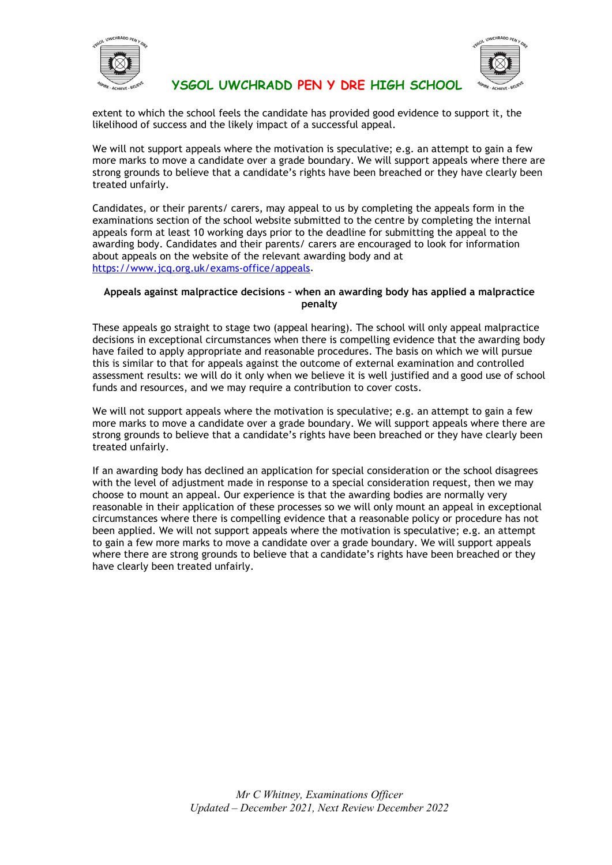



extent to which the school feels the candidate has provided good evidence to support it, the likelihood of success and the likely impact of a successful appeal.

We will not support appeals where the motivation is speculative; e.g. an attempt to gain a few more marks to move a candidate over a grade boundary. We will support appeals where there are strong grounds to believe that a candidate's rights have been breached or they have clearly been treated unfairly.

Candidates, or their parents/ carers, may appeal to us by completing the appeals form in the examinations section of the school website submitted to the centre by completing the internal appeals form at least 10 working days prior to the deadline for submitting the appeal to the awarding body. Candidates and their parents/ carers are encouraged to look for information about appeals on the website of the relevant awarding body and at [https://www.jcq.org.uk/exams-office/appeals.](https://www.jcq.org.uk/exams-office/appeals)

#### **Appeals against malpractice decisions – when an awarding body has applied a malpractice penalty**

These appeals go straight to stage two (appeal hearing). The school will only appeal malpractice decisions in exceptional circumstances when there is compelling evidence that the awarding body have failed to apply appropriate and reasonable procedures. The basis on which we will pursue this is similar to that for appeals against the outcome of external examination and controlled assessment results: we will do it only when we believe it is well justified and a good use of school funds and resources, and we may require a contribution to cover costs.

We will not support appeals where the motivation is speculative; e.g. an attempt to gain a few more marks to move a candidate over a grade boundary. We will support appeals where there are strong grounds to believe that a candidate's rights have been breached or they have clearly been treated unfairly.

If an awarding body has declined an application for special consideration or the school disagrees with the level of adjustment made in response to a special consideration request, then we may choose to mount an appeal. Our experience is that the awarding bodies are normally very reasonable in their application of these processes so we will only mount an appeal in exceptional circumstances where there is compelling evidence that a reasonable policy or procedure has not been applied. We will not support appeals where the motivation is speculative; e.g. an attempt to gain a few more marks to move a candidate over a grade boundary. We will support appeals where there are strong grounds to believe that a candidate's rights have been breached or they have clearly been treated unfairly.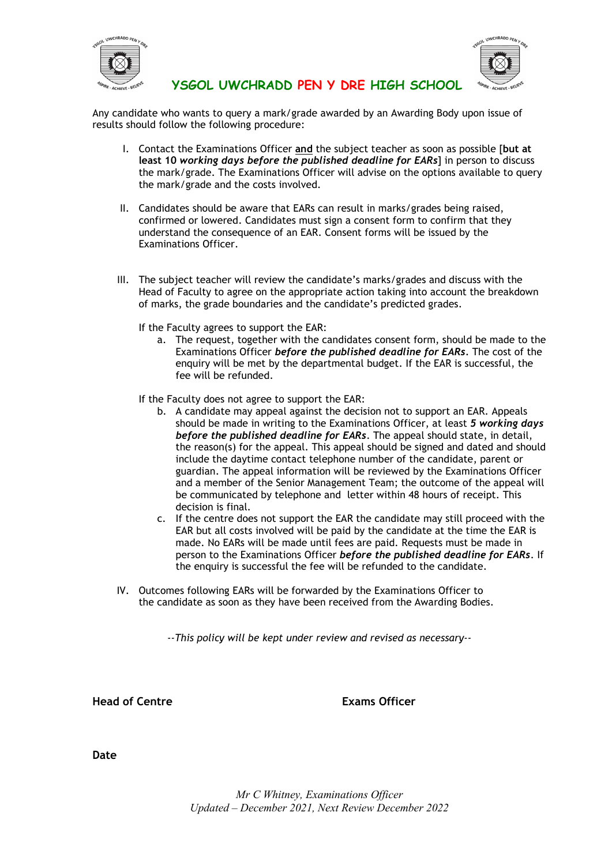



Any candidate who wants to query a mark/grade awarded by an Awarding Body upon issue of results should follow the following procedure:

- I. Contact the Examinations Officer **and** the subject teacher as soon as possible [**but at least 10** *working days before the published deadline for EARs*] in person to discuss the mark/grade. The Examinations Officer will advise on the options available to query the mark/grade and the costs involved.
- II. Candidates should be aware that EARs can result in marks/grades being raised, confirmed or lowered. Candidates must sign a consent form to confirm that they understand the consequence of an EAR. Consent forms will be issued by the Examinations Officer.
- III. The subject teacher will review the candidate's marks/grades and discuss with the Head of Faculty to agree on the appropriate action taking into account the breakdown of marks, the grade boundaries and the candidate's predicted grades.
	- If the Faculty agrees to support the EAR:
		- a. The request, together with the candidates consent form, should be made to the Examinations Officer *before the published deadline for EARs.* The cost of the enquiry will be met by the departmental budget. If the EAR is successful, the fee will be refunded.
	- If the Faculty does not agree to support the EAR:
		- b. A candidate may appeal against the decision not to support an EAR. Appeals should be made in writing to the Examinations Officer, at least *5 working days before the published deadline for EARs*. The appeal should state, in detail, the reason(s) for the appeal. This appeal should be signed and dated and should include the daytime contact telephone number of the candidate, parent or guardian. The appeal information will be reviewed by the Examinations Officer and a member of the Senior Management Team; the outcome of the appeal will be communicated by telephone and letter within 48 hours of receipt. This decision is final.
		- c. If the centre does not support the EAR the candidate may still proceed with the EAR but all costs involved will be paid by the candidate at the time the EAR is made. No EARs will be made until fees are paid. Requests must be made in person to the Examinations Officer *before the published deadline for EARs*. If the enquiry is successful the fee will be refunded to the candidate.
- IV. Outcomes following EARs will be forwarded by the Examinations Officer to the candidate as soon as they have been received from the Awarding Bodies.

*--This policy will be kept under review and revised as necessary--*

**Head of Centre Exams Officer**

**Date**